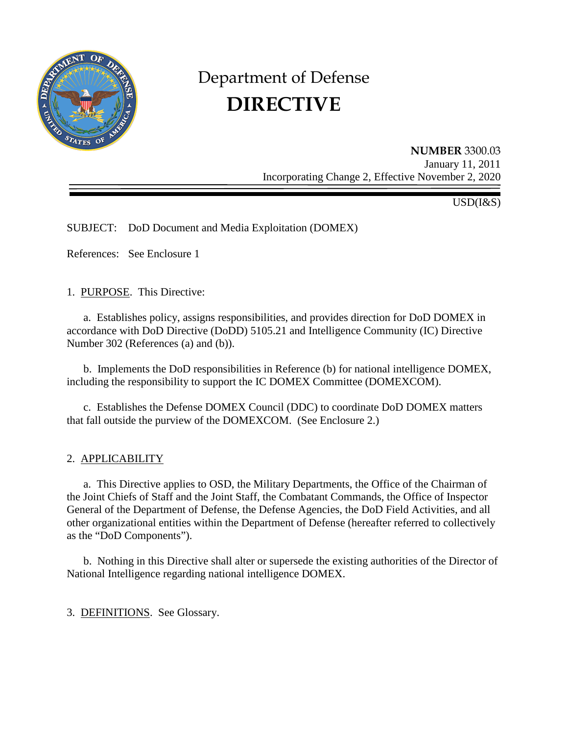

# Department of Defense **DIRECTIVE**

**NUMBER** 3300.03 January 11, 2011 Incorporating Change 2, Effective November 2, 2020

USD(I&S)

SUBJECT: DoD Document and Media Exploitation (DOMEX)

References: See Enclosure 1

1. PURPOSE. This Directive:

a. Establishes policy, assigns responsibilities, and provides direction for DoD DOMEX in accordance with DoD Directive (DoDD) 5105.21 and Intelligence Community (IC) Directive Number 302 (References (a) and (b)).

b. Implements the DoD responsibilities in Reference (b) for national intelligence DOMEX, including the responsibility to support the IC DOMEX Committee (DOMEXCOM).

c. Establishes the Defense DOMEX Council (DDC) to coordinate DoD DOMEX matters that fall outside the purview of the DOMEXCOM. (See Enclosure 2.)

2. APPLICABILITY

a. This Directive applies to OSD, the Military Departments, the Office of the Chairman of the Joint Chiefs of Staff and the Joint Staff, the Combatant Commands, the Office of Inspector General of the Department of Defense, the Defense Agencies, the DoD Field Activities, and all other organizational entities within the Department of Defense (hereafter referred to collectively as the "DoD Components").

b. Nothing in this Directive shall alter or supersede the existing authorities of the Director of National Intelligence regarding national intelligence DOMEX.

3. DEFINITIONS. See Glossary.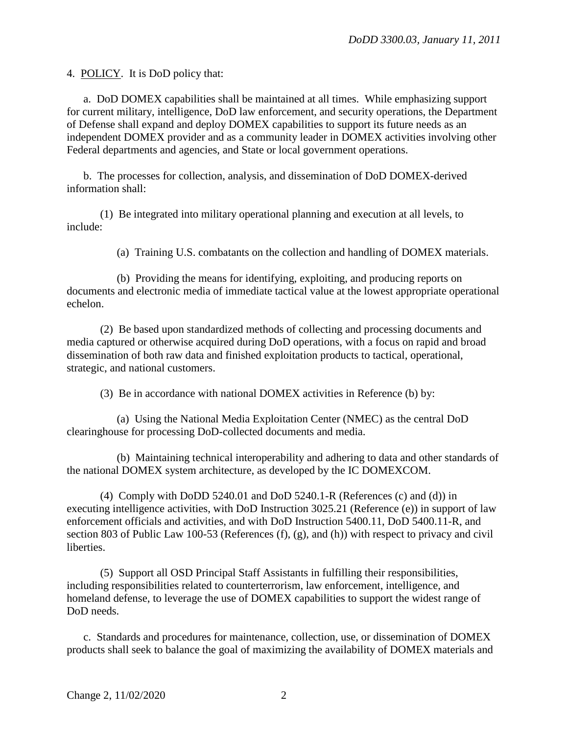4. POLICY. It is DoD policy that:

a. DoD DOMEX capabilities shall be maintained at all times. While emphasizing support for current military, intelligence, DoD law enforcement, and security operations, the Department of Defense shall expand and deploy DOMEX capabilities to support its future needs as an independent DOMEX provider and as a community leader in DOMEX activities involving other Federal departments and agencies, and State or local government operations.

b. The processes for collection, analysis, and dissemination of DoD DOMEX-derived information shall:

(1) Be integrated into military operational planning and execution at all levels, to include:

(a) Training U.S. combatants on the collection and handling of DOMEX materials.

(b) Providing the means for identifying, exploiting, and producing reports on documents and electronic media of immediate tactical value at the lowest appropriate operational echelon.

(2) Be based upon standardized methods of collecting and processing documents and media captured or otherwise acquired during DoD operations, with a focus on rapid and broad dissemination of both raw data and finished exploitation products to tactical, operational, strategic, and national customers.

(3) Be in accordance with national DOMEX activities in Reference (b) by:

(a) Using the National Media Exploitation Center (NMEC) as the central DoD clearinghouse for processing DoD-collected documents and media.

(b) Maintaining technical interoperability and adhering to data and other standards of the national DOMEX system architecture, as developed by the IC DOMEXCOM.

(4) Comply with DoDD 5240.01 and DoD 5240.1-R (References (c) and (d)) in executing intelligence activities, with DoD Instruction 3025.21 (Reference (e)) in support of law enforcement officials and activities, and with DoD Instruction 5400.11, DoD 5400.11-R, and section 803 of Public Law 100-53 (References (f), (g), and (h)) with respect to privacy and civil **liberties** 

(5) Support all OSD Principal Staff Assistants in fulfilling their responsibilities, including responsibilities related to counterterrorism, law enforcement, intelligence, and homeland defense, to leverage the use of DOMEX capabilities to support the widest range of DoD needs.

c. Standards and procedures for maintenance, collection, use, or dissemination of DOMEX products shall seek to balance the goal of maximizing the availability of DOMEX materials and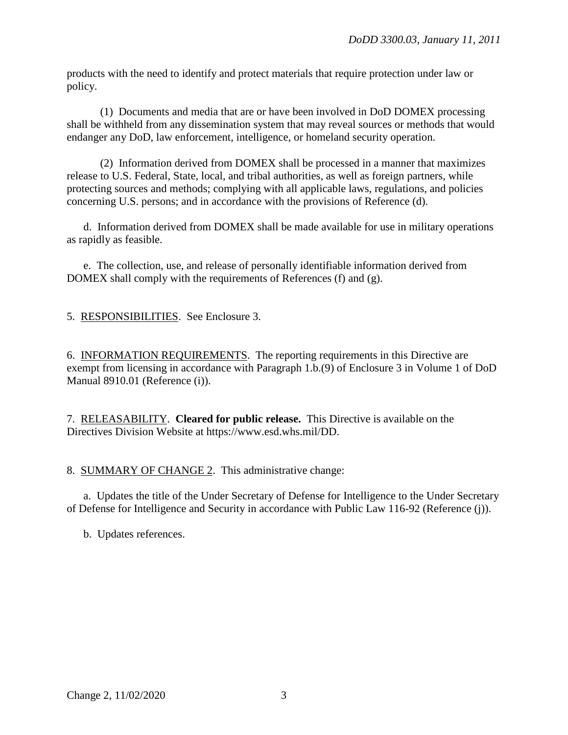products with the need to identify and protect materials that require protection under law or policy.

(1) Documents and media that are or have been involved in DoD DOMEX processing shall be withheld from any dissemination system that may reveal sources or methods that would endanger any DoD, law enforcement, intelligence, or homeland security operation.

(2) Information derived from DOMEX shall be processed in a manner that maximizes release to U.S. Federal, State, local, and tribal authorities, as well as foreign partners, while protecting sources and methods; complying with all applicable laws, regulations, and policies concerning U.S. persons; and in accordance with the provisions of Reference (d).

d. Information derived from DOMEX shall be made available for use in military operations as rapidly as feasible.

e. The collection, use, and release of personally identifiable information derived from DOMEX shall comply with the requirements of References (f) and (g).

5. RESPONSIBILITIES. See Enclosure 3.

6. INFORMATION REQUIREMENTS. The reporting requirements in this Directive are exempt from licensing in accordance with Paragraph 1.b.(9) of Enclosure 3 in Volume 1 of DoD Manual 8910.01 (Reference (i)).

7. RELEASABILITY. **Cleared for public release.** This Directive is available on the Directives Division Website at https://www.esd.whs.mil/DD.

8. SUMMARY OF CHANGE 2. This administrative change:

a. Updates the title of the Under Secretary of Defense for Intelligence to the Under Secretary of Defense for Intelligence and Security in accordance with Public Law 116-92 (Reference (j)).

b. Updates references.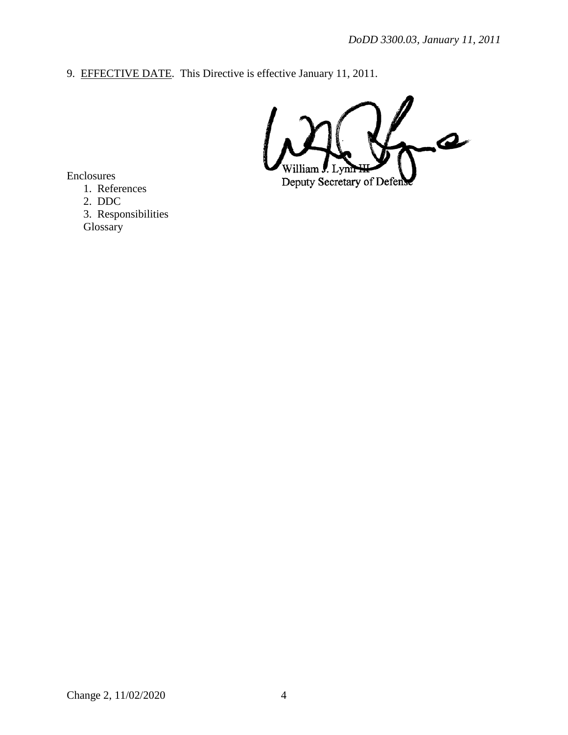9. EFFECTIVE DATE. This Directive is effective January 11, 2011.

 $\blacktriangle$ Deputy Secretary of Defen

Enclosures

1. References

2. DDC

3. Responsibilities Glossary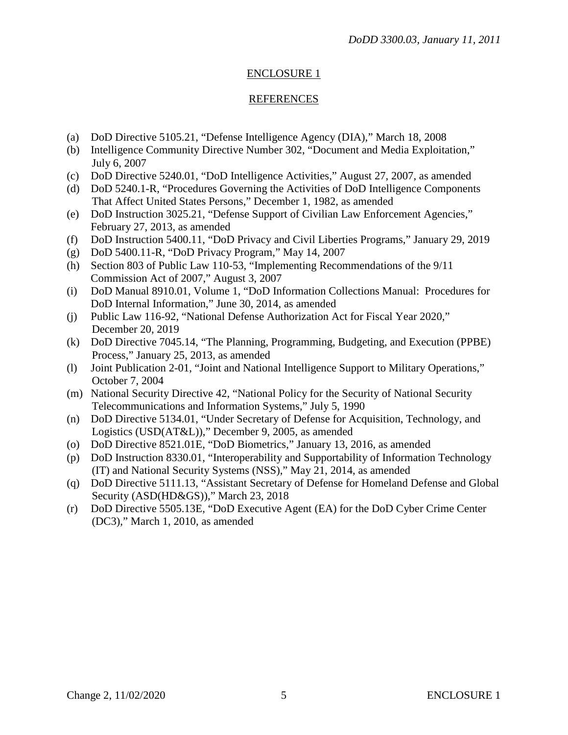## ENCLOSURE 1

#### **REFERENCES**

- (a) DoD Directive 5105.21, "Defense Intelligence Agency (DIA)," March 18, 2008
- (b) Intelligence Community Directive Number 302, "Document and Media Exploitation," July 6, 2007
- (c) DoD Directive 5240.01, "DoD Intelligence Activities," August 27, 2007, as amended
- (d) DoD 5240.1-R, "Procedures Governing the Activities of DoD Intelligence Components That Affect United States Persons," December 1, 1982, as amended
- (e) DoD Instruction 3025.21, "Defense Support of Civilian Law Enforcement Agencies," February 27, 2013, as amended
- (f) DoD Instruction 5400.11, "DoD Privacy and Civil Liberties Programs," January 29, 2019
- (g) DoD 5400.11-R, "DoD Privacy Program," May 14, 2007
- (h) Section 803 of Public Law 110-53, "Implementing Recommendations of the 9/11 Commission Act of 2007," August 3, 2007
- (i) DoD Manual 8910.01, Volume 1, "DoD Information Collections Manual: Procedures for DoD Internal Information," June 30, 2014, as amended
- (j) Public Law 116-92, "National Defense Authorization Act for Fiscal Year 2020," December 20, 2019
- (k) DoD Directive 7045.14, "The Planning, Programming, Budgeting, and Execution (PPBE) Process," January 25, 2013, as amended
- (l) Joint Publication 2-01, "Joint and National Intelligence Support to Military Operations," October 7, 2004
- (m) National Security Directive 42, "National Policy for the Security of National Security Telecommunications and Information Systems," July 5, 1990
- (n) DoD Directive 5134.01, "Under Secretary of Defense for Acquisition, Technology, and Logistics (USD(AT&L))," December 9, 2005, as amended
- (o) DoD Directive 8521.01E, "DoD Biometrics," January 13, 2016, as amended
- (p) DoD Instruction 8330.01, "Interoperability and Supportability of Information Technology (IT) and National Security Systems (NSS)," May 21, 2014, as amended
- (q) DoD Directive 5111.13, "Assistant Secretary of Defense for Homeland Defense and Global Security (ASD(HD&GS))," March 23, 2018
- (r) DoD Directive 5505.13E, "DoD Executive Agent (EA) for the DoD Cyber Crime Center (DC3)," March 1, 2010, as amended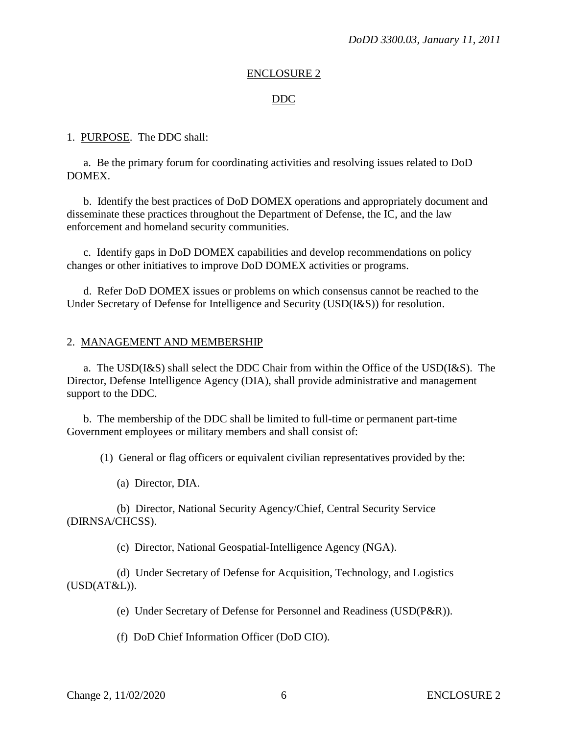#### ENCLOSURE 2

#### DDC

#### 1. PURPOSE. The DDC shall:

a. Be the primary forum for coordinating activities and resolving issues related to DoD DOMEX.

 b. Identify the best practices of DoD DOMEX operations and appropriately document and disseminate these practices throughout the Department of Defense, the IC, and the law enforcement and homeland security communities.

 c. Identify gaps in DoD DOMEX capabilities and develop recommendations on policy changes or other initiatives to improve DoD DOMEX activities or programs.

 d. Refer DoD DOMEX issues or problems on which consensus cannot be reached to the Under Secretary of Defense for Intelligence and Security (USD(I&S)) for resolution.

#### 2. MANAGEMENT AND MEMBERSHIP

a. The USD(I&S) shall select the DDC Chair from within the Office of the USD(I&S). The Director, Defense Intelligence Agency (DIA), shall provide administrative and management support to the DDC.

 b. The membership of the DDC shall be limited to full-time or permanent part-time Government employees or military members and shall consist of:

(1) General or flag officers or equivalent civilian representatives provided by the:

(a) Director, DIA.

 (b) Director, National Security Agency/Chief, Central Security Service (DIRNSA/CHCSS).

(c) Director, National Geospatial-Intelligence Agency (NGA).

 (d) Under Secretary of Defense for Acquisition, Technology, and Logistics  $(USD(AT&L)).$ 

(e) Under Secretary of Defense for Personnel and Readiness (USD(P&R)).

(f) DoD Chief Information Officer (DoD CIO).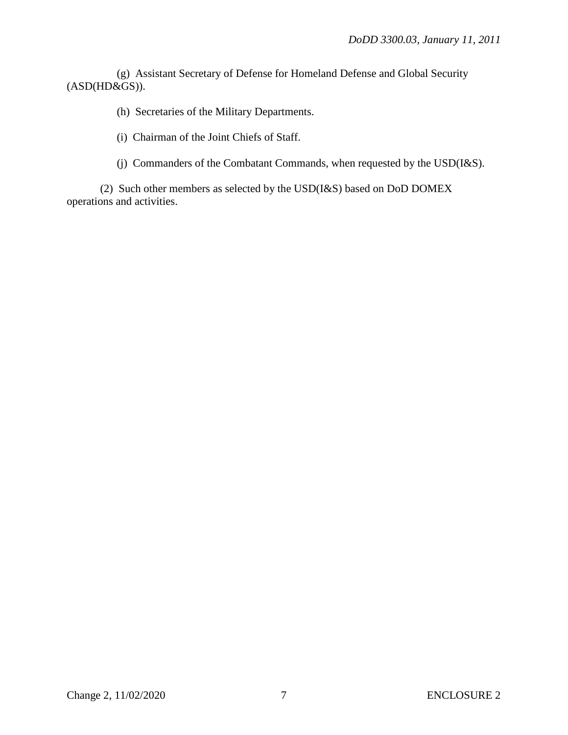(g) Assistant Secretary of Defense for Homeland Defense and Global Security (ASD(HD&GS)).

(h) Secretaries of the Military Departments.

(i) Chairman of the Joint Chiefs of Staff.

(j) Commanders of the Combatant Commands, when requested by the USD(I&S).

 (2) Such other members as selected by the USD(I&S) based on DoD DOMEX operations and activities.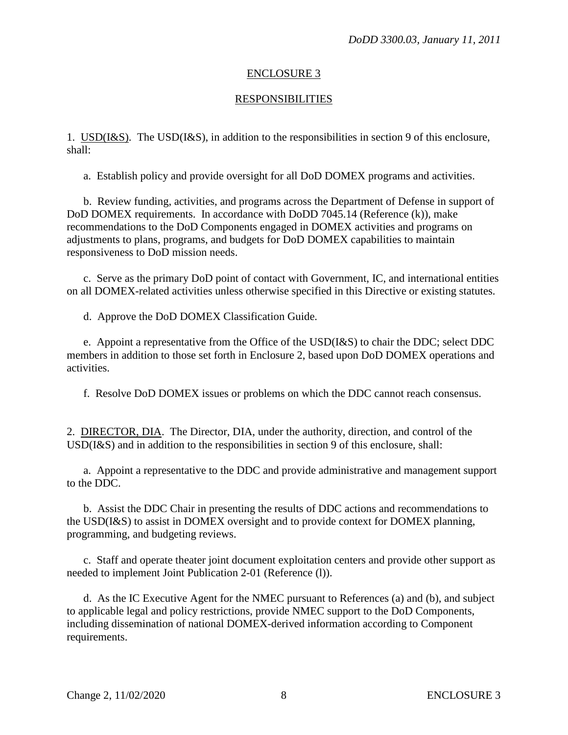## ENCLOSURE 3

### RESPONSIBILITIES

1. USD(I&S). The USD(I&S), in addition to the responsibilities in section 9 of this enclosure, shall:

a. Establish policy and provide oversight for all DoD DOMEX programs and activities.

 b. Review funding, activities, and programs across the Department of Defense in support of DoD DOMEX requirements. In accordance with DoDD 7045.14 (Reference (k)), make recommendations to the DoD Components engaged in DOMEX activities and programs on adjustments to plans, programs, and budgets for DoD DOMEX capabilities to maintain responsiveness to DoD mission needs.

c. Serve as the primary DoD point of contact with Government, IC, and international entities on all DOMEX-related activities unless otherwise specified in this Directive or existing statutes.

d. Approve the DoD DOMEX Classification Guide.

 e. Appoint a representative from the Office of the USD(I&S) to chair the DDC; select DDC members in addition to those set forth in Enclosure 2, based upon DoD DOMEX operations and activities.

f. Resolve DoD DOMEX issues or problems on which the DDC cannot reach consensus.

2. DIRECTOR, DIA. The Director, DIA, under the authority, direction, and control of the USD(I&S) and in addition to the responsibilities in section 9 of this enclosure, shall:

 a. Appoint a representative to the DDC and provide administrative and management support to the DDC.

 b. Assist the DDC Chair in presenting the results of DDC actions and recommendations to the USD(I&S) to assist in DOMEX oversight and to provide context for DOMEX planning, programming, and budgeting reviews.

 c. Staff and operate theater joint document exploitation centers and provide other support as needed to implement Joint Publication 2-01 (Reference (l)).

 d. As the IC Executive Agent for the NMEC pursuant to References (a) and (b), and subject to applicable legal and policy restrictions, provide NMEC support to the DoD Components, including dissemination of national DOMEX-derived information according to Component requirements.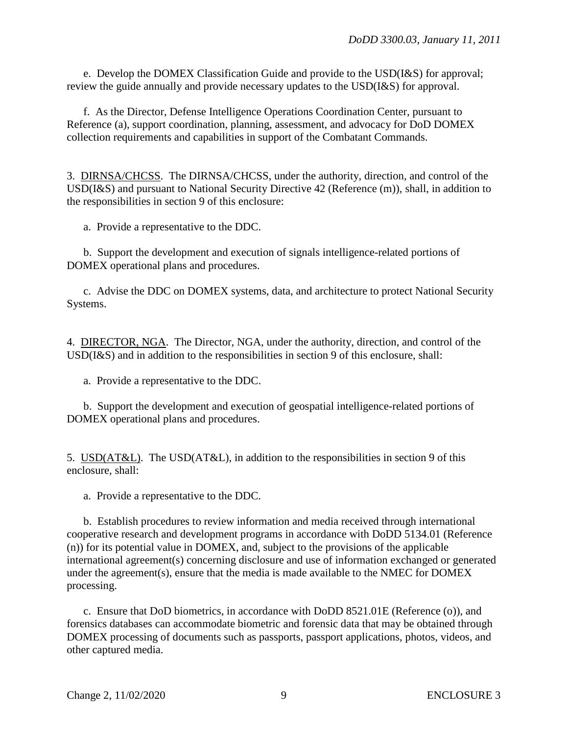e. Develop the DOMEX Classification Guide and provide to the USD(I&S) for approval; review the guide annually and provide necessary updates to the USD(I&S) for approval.

f. As the Director, Defense Intelligence Operations Coordination Center, pursuant to Reference (a), support coordination, planning, assessment, and advocacy for DoD DOMEX collection requirements and capabilities in support of the Combatant Commands.

3. DIRNSA/CHCSS. The DIRNSA/CHCSS, under the authority, direction, and control of the USD(I&S) and pursuant to National Security Directive 42 (Reference (m)), shall, in addition to the responsibilities in section 9 of this enclosure:

a. Provide a representative to the DDC.

 b. Support the development and execution of signals intelligence-related portions of DOMEX operational plans and procedures.

c. Advise the DDC on DOMEX systems, data, and architecture to protect National Security Systems.

4. DIRECTOR, NGA. The Director, NGA, under the authority, direction, and control of the USD(I&S) and in addition to the responsibilities in section 9 of this enclosure, shall:

a. Provide a representative to the DDC.

 b. Support the development and execution of geospatial intelligence-related portions of DOMEX operational plans and procedures.

5. USD(AT&L). The USD(AT&L), in addition to the responsibilities in section 9 of this enclosure, shall:

a. Provide a representative to the DDC.

 b. Establish procedures to review information and media received through international cooperative research and development programs in accordance with DoDD 5134.01 (Reference (n)) for its potential value in DOMEX, and, subject to the provisions of the applicable international agreement(s) concerning disclosure and use of information exchanged or generated under the agreement(s), ensure that the media is made available to the NMEC for DOMEX processing.

 c. Ensure that DoD biometrics, in accordance with DoDD 8521.01E (Reference (o)), and forensics databases can accommodate biometric and forensic data that may be obtained through DOMEX processing of documents such as passports, passport applications, photos, videos, and other captured media.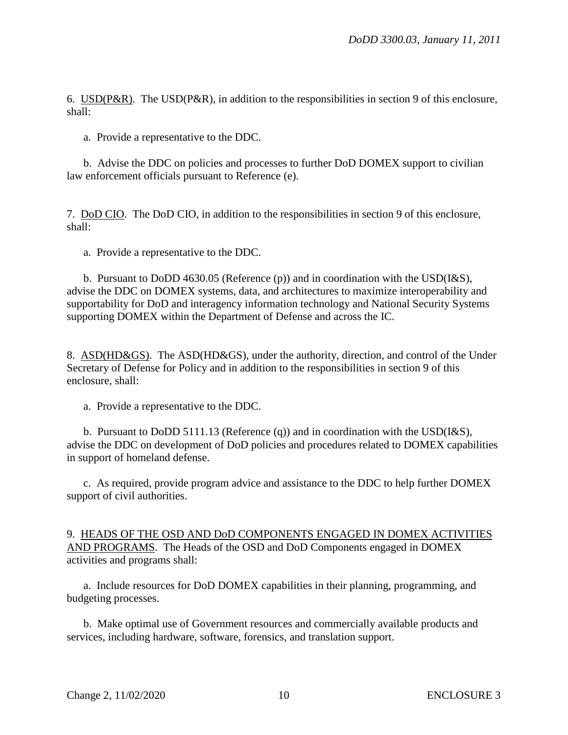6. USD(P&R). The USD(P&R), in addition to the responsibilities in section 9 of this enclosure, shall:

a. Provide a representative to the DDC.

 b. Advise the DDC on policies and processes to further DoD DOMEX support to civilian law enforcement officials pursuant to Reference (e).

7. DoD CIO. The DoD CIO, in addition to the responsibilities in section 9 of this enclosure, shall:

a. Provide a representative to the DDC.

 b. Pursuant to DoDD 4630.05 (Reference (p)) and in coordination with the USD(I&S), advise the DDC on DOMEX systems, data, and architectures to maximize interoperability and supportability for DoD and interagency information technology and National Security Systems supporting DOMEX within the Department of Defense and across the IC.

8. ASD(HD&GS). The ASD(HD&GS), under the authority, direction, and control of the Under Secretary of Defense for Policy and in addition to the responsibilities in section 9 of this enclosure, shall:

a. Provide a representative to the DDC.

 b. Pursuant to DoDD 5111.13 (Reference (q)) and in coordination with the USD(I&S), advise the DDC on development of DoD policies and procedures related to DOMEX capabilities in support of homeland defense.

 c. As required, provide program advice and assistance to the DDC to help further DOMEX support of civil authorities.

9. HEADS OF THE OSD AND DoD COMPONENTS ENGAGED IN DOMEX ACTIVITIES AND PROGRAMS. The Heads of the OSD and DoD Components engaged in DOMEX activities and programs shall:

 a. Include resources for DoD DOMEX capabilities in their planning, programming, and budgeting processes.

 b. Make optimal use of Government resources and commercially available products and services, including hardware, software, forensics, and translation support.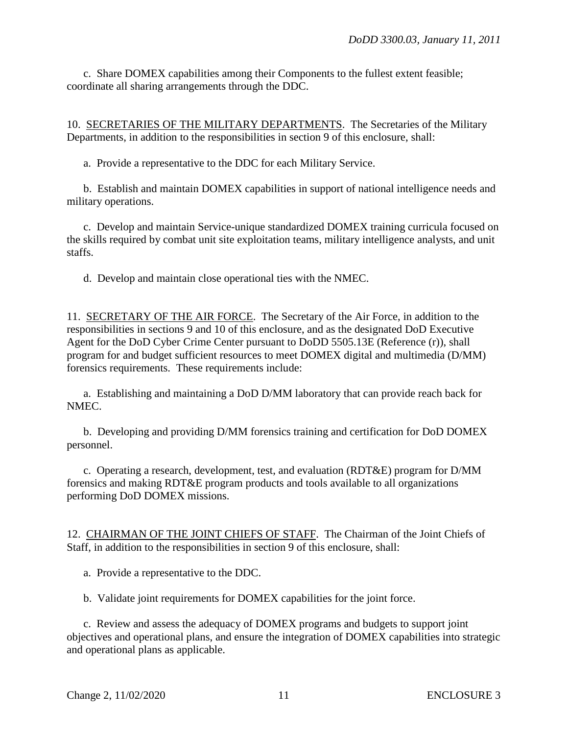c. Share DOMEX capabilities among their Components to the fullest extent feasible; coordinate all sharing arrangements through the DDC.

10. SECRETARIES OF THE MILITARY DEPARTMENTS. The Secretaries of the Military Departments, in addition to the responsibilities in section 9 of this enclosure, shall:

a. Provide a representative to the DDC for each Military Service.

 b. Establish and maintain DOMEX capabilities in support of national intelligence needs and military operations.

c. Develop and maintain Service-unique standardized DOMEX training curricula focused on the skills required by combat unit site exploitation teams, military intelligence analysts, and unit staffs.

d. Develop and maintain close operational ties with the NMEC.

11. SECRETARY OF THE AIR FORCE. The Secretary of the Air Force, in addition to the responsibilities in sections 9 and 10 of this enclosure, and as the designated DoD Executive Agent for the DoD Cyber Crime Center pursuant to DoDD 5505.13E (Reference (r)), shall program for and budget sufficient resources to meet DOMEX digital and multimedia (D/MM) forensics requirements. These requirements include:

a. Establishing and maintaining a DoD D/MM laboratory that can provide reach back for NMEC.

 b. Developing and providing D/MM forensics training and certification for DoD DOMEX personnel.

 c. Operating a research, development, test, and evaluation (RDT&E) program for D/MM forensics and making RDT&E program products and tools available to all organizations performing DoD DOMEX missions.

12. CHAIRMAN OF THE JOINT CHIEFS OF STAFF. The Chairman of the Joint Chiefs of Staff, in addition to the responsibilities in section 9 of this enclosure, shall:

a. Provide a representative to the DDC.

b. Validate joint requirements for DOMEX capabilities for the joint force.

c. Review and assess the adequacy of DOMEX programs and budgets to support joint objectives and operational plans, and ensure the integration of DOMEX capabilities into strategic and operational plans as applicable.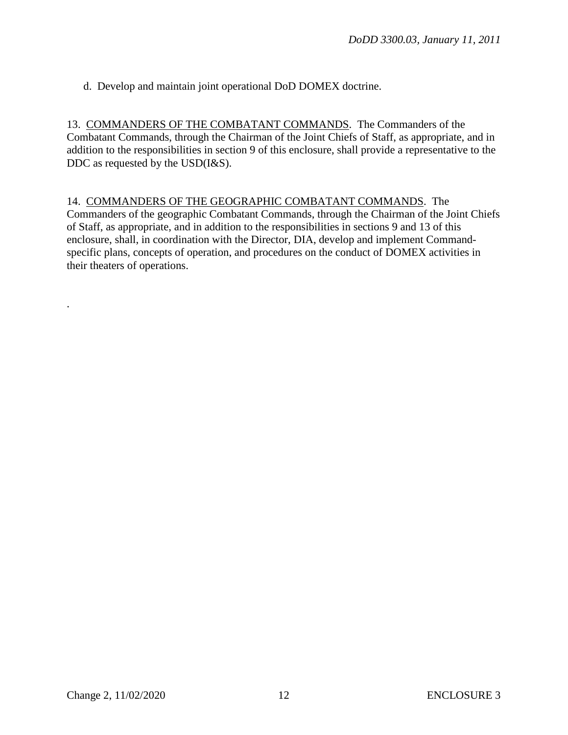d. Develop and maintain joint operational DoD DOMEX doctrine.

13. COMMANDERS OF THE COMBATANT COMMANDS. The Commanders of the Combatant Commands, through the Chairman of the Joint Chiefs of Staff, as appropriate, and in addition to the responsibilities in section 9 of this enclosure, shall provide a representative to the DDC as requested by the USD(I&S).

14. COMMANDERS OF THE GEOGRAPHIC COMBATANT COMMANDS. The Commanders of the geographic Combatant Commands, through the Chairman of the Joint Chiefs of Staff, as appropriate, and in addition to the responsibilities in sections 9 and 13 of this enclosure, shall, in coordination with the Director, DIA, develop and implement Commandspecific plans, concepts of operation, and procedures on the conduct of DOMEX activities in their theaters of operations.

.